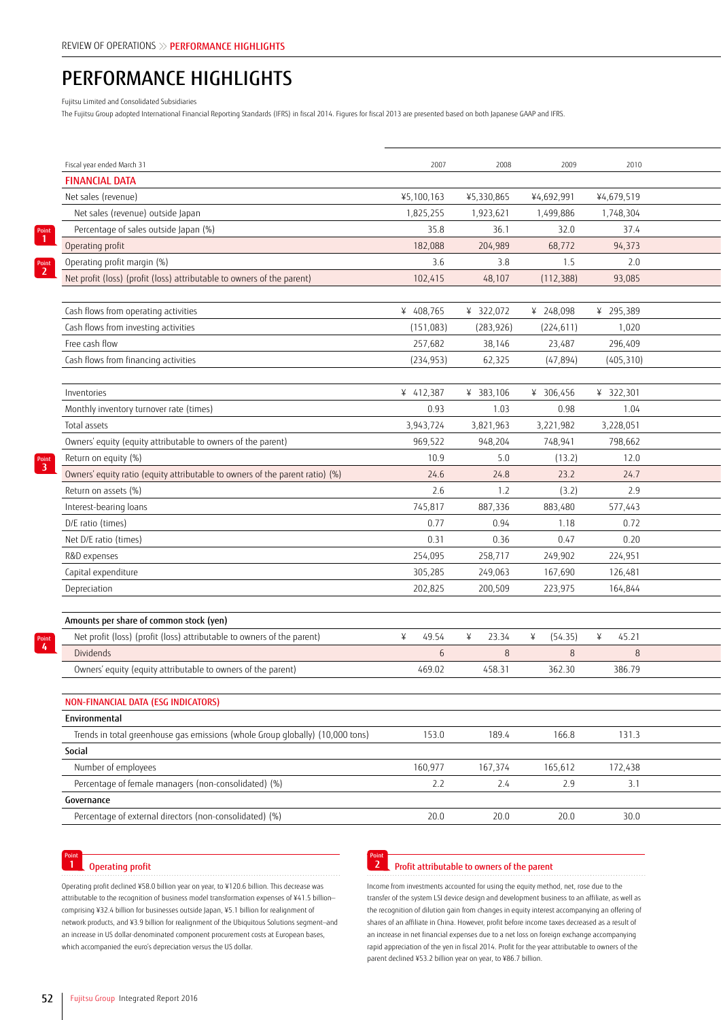# PERFORMANCE HIGHLIGHTS

Fujitsu Limited and Consolidated Subsidiaries

The Fujitsu Group adopted International Financial Reporting Standards (IFRS) in fiscal 2014. Figures for fiscal 2013 are presented based on both Japanese GAAP and IFRS.

| Fiscal year ended March 31                                                    | 2007       | 2008       | 2009                | 2010              |
|-------------------------------------------------------------------------------|------------|------------|---------------------|-------------------|
| <b>FINANCIAL DATA</b>                                                         |            |            |                     |                   |
| Net sales (revenue)                                                           | ¥5,100,163 | ¥5,330,865 | ¥4,692,991          | ¥4,679,519        |
| Net sales (revenue) outside Japan                                             | 1,825,255  | 1,923,621  | 1,499,886           | 1,748,304         |
| Percentage of sales outside Japan (%)                                         | 35.8       | 36.1       | 32.0                | 37.4              |
| Operating profit                                                              | 182,088    | 204,989    | 68,772              | 94,373            |
| Operating profit margin (%)                                                   | 3.6        | 3.8        | 1.5                 | 2.0               |
| Net profit (loss) (profit (loss) attributable to owners of the parent)        | 102,415    | 48,107     | (112, 388)          | 93,085            |
|                                                                               |            |            |                     |                   |
| Cash flows from operating activities                                          | ¥ 408,765  | ¥ 322,072  | ¥ 248,098           | ¥ 295,389         |
| Cash flows from investing activities                                          | (151,083)  | (283, 926) | (224, 611)          | 1,020             |
| Free cash flow                                                                | 257,682    | 38,146     | 23,487              | 296,409           |
| Cash flows from financing activities                                          | (234, 953) | 62,325     | (47, 894)           | (405, 310)        |
|                                                                               |            |            |                     |                   |
| Inventories                                                                   | ¥ 412,387  | ¥ 383,106  | ¥ 306,456           | ¥ 322,301         |
| Monthly inventory turnover rate (times)                                       | 0.93       | 1.03       | 0.98                | 1.04              |
| Total assets                                                                  | 3,943,724  | 3,821,963  | 3,221,982           | 3,228,051         |
| Owners' equity (equity attributable to owners of the parent)                  | 969,522    | 948,204    | 748,941             | 798,662           |
| Return on equity (%)                                                          | 10.9       | 5.0        | (13.2)              | 12.0              |
| Owners' equity ratio (equity attributable to owners of the parent ratio) (%)  | 24.6       | 24.8       | 23.2                | 24.7              |
| Return on assets (%)                                                          | 2.6        | 1.2        | (3.2)               | 2.9               |
| Interest-bearing loans                                                        | 745,817    | 887,336    | 883,480             | 577,443           |
| D/E ratio (times)                                                             | 0.77       | 0.94       | 1.18                | 0.72              |
|                                                                               | 0.31       |            |                     | 0.20              |
| Net D/E ratio (times)                                                         |            | 0.36       | 0.47                |                   |
| R&D expenses                                                                  | 254,095    | 258,717    | 249,902             | 224,951           |
| Capital expenditure                                                           | 305,285    | 249,063    | 167,690             | 126,481           |
| Depreciation                                                                  | 202,825    | 200,509    | 223,975             | 164,844           |
|                                                                               |            |            |                     |                   |
| Amounts per share of common stock (yen)                                       |            |            |                     |                   |
| Net profit (loss) (profit (loss) attributable to owners of the parent)        | 49.54      | 23.34<br>¥ | (54.35)<br>$\angle$ | 45.21<br>$\angle$ |
| Dividends                                                                     | 6          | 8          | 8                   | 8                 |
| Owners' equity (equity attributable to owners of the parent)                  | 469.02     | 458.31     | 362.30              | 386.79            |
|                                                                               |            |            |                     |                   |
| NON-FINANCIAL DATA (ESG INDICATORS)                                           |            |            |                     |                   |
| Environmental                                                                 |            |            |                     |                   |
| Trends in total greenhouse gas emissions (whole Group globally) (10,000 tons) | 153.0      | 189.4      | 166.8               | 131.3             |
| Social                                                                        |            |            |                     |                   |
| Number of employees                                                           | 160,977    | 167,374    | 165,612             | 172,438           |
| Percentage of female managers (non-consolidated) (%)                          | 2.2        | 2.4        | 2.9                 | 3.1               |
| Governance                                                                    |            |            |                     |                   |
| Percentage of external directors (non-consolidated) (%)                       | 20.0       | 20.0       | 20.0                | 30.0              |
|                                                                               |            |            |                     |                   |

### Point<br>**1** Operating profit

Operating profit declined ¥58.0 billion year on year, to ¥120.6 billion. This decrease was attributable to the recognition of business model transformation expenses of ¥41.5 billion comprising ¥32.4 billion for businesses outside Japan, ¥5.1 billion for realignment of network products, and ¥3.9 billion for realignment of the Ubiquitous Solutions segment—and an increase in US dollar-denominated component procurement costs at European bases, which accompanied the euro's depreciation versus the US dollar.

#### Point<br> **2** Profit attributable to owners of the parent

Income from investments accounted for using the equity method, net, rose due to the transfer of the system LSI device design and development business to an affiliate, as well as the recognition of dilution gain from changes in equity interest accompanying an offering of shares of an affiliate in China. However, profit before income taxes decreased as a result of an increase in net financial expenses due to a net loss on foreign exchange accompanying rapid appreciation of the yen in fiscal 2014. Profit for the year attributable to owners of the parent declined ¥53.2 billion year on year, to ¥86.7 billion.

Point **3**

Point **1**

Point **2**